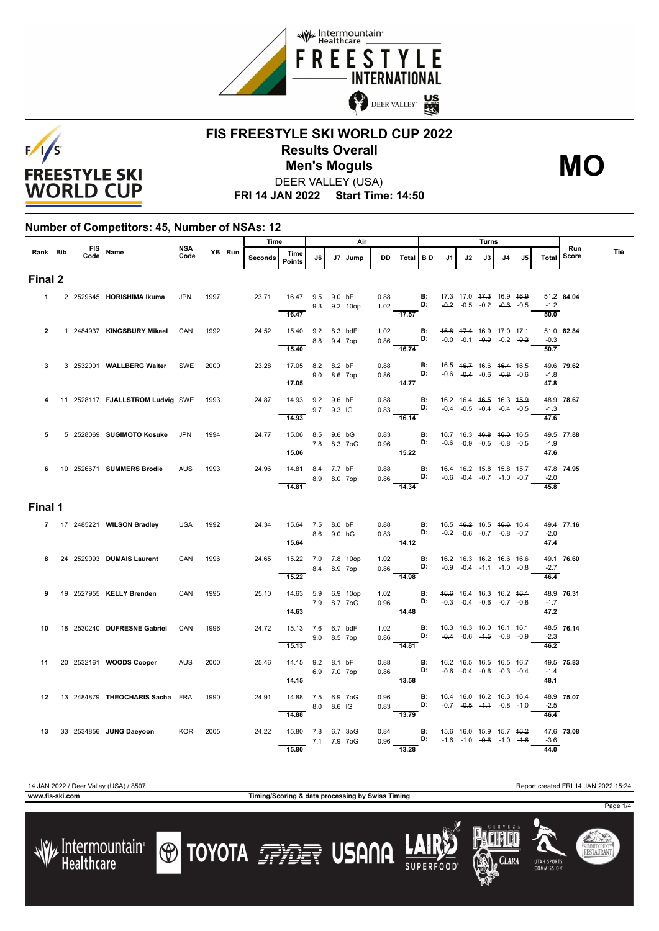



## **FIS FREESTYLE SKI WORLD CUP 2022 Results Overall** DEER VALLEY (USA) **Men's Moguls MO**

**FRI 14 JAN 2022 Start Time: 14:50**

#### **Number of Competitors: 45, Number of NSAs: 12**

|                |                  |                                              |             |        | Time    |                                                     |             | Air          |           |                                                                                                                                 |     |    | Turns                                                                                |     |     |                             | Run        |     |
|----------------|------------------|----------------------------------------------|-------------|--------|---------|-----------------------------------------------------|-------------|--------------|-----------|---------------------------------------------------------------------------------------------------------------------------------|-----|----|--------------------------------------------------------------------------------------|-----|-----|-----------------------------|------------|-----|
| Rank Bib       | FIS Name<br>Code |                                              | NSA<br>Code | YB Run | Seconds | Time<br><b>Points</b>                               | J6          | J7 Jump      | <b>DD</b> | Total   BD                                                                                                                      | .11 | J2 | J3                                                                                   | 4ل. | .15 | Total                       | Score      | Tie |
| Final 2        |                  |                                              |             |        |         |                                                     |             |              |           |                                                                                                                                 |     |    |                                                                                      |     |     |                             |            |     |
|                |                  | 1 2 2529645 HORISHIMA Ikuma                  | <b>JPN</b>  | 1997   |         | 23.71 16.47 9.5 9.0 bF<br>16.47                     |             | 9.3 9.2 10op |           | 0.88 <b>B:</b><br>1.02 <b>D:</b><br>$\frac{1}{17.57}$                                                                           |     |    | 17.3 17.0 <del>17.3</del> 16.9 <del>16.9</del><br>$-0.2$ $-0.5$ $-0.2$ $-0.6$ $-0.5$ |     |     | $-1.2$                      | 51.2 84.04 |     |
| $\overline{2}$ |                  | 1 2484937 KINGSBURY Mikael                   | CAN         | 1992   |         | 24.52  15.40  9.2  8.3  bdF                         |             |              |           | 1.02 <b>B:</b> $46.8$ 47.4 16.9 17.0 17.1 0.86 <b>D:</b> -0.0 -0.1 -0. <del>0</del> -0.2 -0.2                                   |     |    |                                                                                      |     |     | $\frac{1}{50.0}$<br>$-0.3$  | 51.0 82.84 |     |
| 3              |                  | 3 2532001 WALLBERG Walter                    | SWE         | 2000   | 23.28   | $\frac{8.8}{15.40}$ 8.8 9.4 7op<br>17.05 8.2 8.2 bF |             |              |           | 16.74<br>0.88 <b>B:</b><br>0.86 <b>D:</b>                                                                                       |     |    | 16.5 46.7 16.6 46.4 16.5                                                             |     |     | 50.7                        | 49.6 79.62 |     |
|                |                  |                                              |             |        |         | 17.05                                               | 9.0 8.6 7op |              |           | 14.77                                                                                                                           |     |    | $-0.6$ $-0.4$ $-0.6$ $-0.8$ $-0.6$                                                   |     |     | $-1.8$<br>$\frac{47.8}{ }$  |            |     |
| 4              |                  | 11 2528117 <b>FJALLSTROM Ludvig SWE</b> 1993 |             |        | 24.87   | 14.93 9.2 9.6 bF<br>9.7 9.3 IG<br>14.93             |             |              |           | 0.88 <b>B:</b> 16.2 16.4 46.5 16.3 45.9<br>16.14                                                                                |     |    |                                                                                      |     |     | $-1.3$<br>47.6              | 48.9 78.67 |     |
| 5              |                  | 5 2528069 SUGIMOTO Kosuke JPN                |             | 1994   | 24.77   | 15.06 8.5 9.6 bG<br>7.8 8.3 7oG<br>15.06            |             |              |           | 0.83 <b>B:</b><br>0.96 <b>D:</b><br>15.22                                                                                       |     |    | 16.7 16.3 <del>16.8</del> 16.0 16.5<br>$-0.6$ $-0.9$ $-0.5$ $-0.8$ $-0.5$            |     |     | $-1.9$<br>47.6              | 49.5 77.88 |     |
|                |                  | 6 10 2526671 SUMMERS Brodie                  | <b>AUS</b>  | 1993   | 24.96   | 14.81 8.4 7.7 bF<br>8.9 8.0 7op<br>14.81            |             |              |           | 0.88 <b>B:</b> $46.4$ 16.2 15.8 15.8 $45.7$<br>0.86 <b>D:</b> -0.6 -0.4 -0.7 -4.0 -0.7<br>$\frac{1}{14.34}$                     |     |    |                                                                                      |     |     | $-2.0$<br>45.8              | 47.8 74.95 |     |
| Final 1        |                  |                                              |             |        |         |                                                     |             |              |           |                                                                                                                                 |     |    |                                                                                      |     |     |                             |            |     |
|                |                  | 7 17 2485221 WILSON Bradley                  | USA         | 1992   |         | 24.34  15.64  7.5  8.0 bF<br>8.6 9.0 bG             |             |              |           | 0.88 <b>B</b> : $16.5$ $16.2$ $16.5$ $16.6$ $16.4$<br>0.83 <b>D:</b> $-0.2$ $-0.6$ $-0.7$ $-0.8$ $-0.7$<br>$\frac{0.55}{14.12}$ |     |    |                                                                                      |     |     | $-2.0$<br>47.4              | 49.4 77.16 |     |
| 8              |                  | 24 2529093 DUMAIS Laurent                    | CAN         | 1996   | 24.65   | 15.22 7.0 7.8 10op<br>$\frac{15.22}{ }$             | 8.4 8.9 7op |              |           | 1.02 <b>B:</b><br>0.86 <b>D:</b><br>$\frac{1}{14.98}$                                                                           |     |    | 46.2 16.3 16.2 46.6 16.6<br>$-0.9$ $-0.4$ $-4.4$ $-1.0$ $-0.8$                       |     |     | $-2.7$<br>46.4              | 49.1 76.60 |     |
| 9              |                  | 19 2527955 KELLY Brenden                     | CAN         | 1995   |         | 25.10  14.63  5.9  6.9  10op<br>7.9 8.7 7 og        |             |              |           | 1.02 <b>B</b> : $46.6$ 16.4 16.3 16.2 $46.4$<br>0.96 <b>D:</b> $-0.3$ $-0.4$ $-0.6$ $-0.7$ $-0.8$<br>14.48                      |     |    |                                                                                      |     |     | $-1.7$<br>$\overline{47.2}$ | 48.9 76.31 |     |
| 10             |                  | 18  2530240  DUFRESNE Gabriel                | CAN         | 1996   | 24.72   | 15.13 7.6 6.7 bdF<br>15.13                          | 9.0 8.5 7op |              |           | 1.02 <b>B</b> : 16.3 4 <del>6.3</del> 46.0 16.1 16.1<br>0.86 <b>D:</b> -0.4 -0.6 -1.5 -0.8 -0.9<br>14.81                        |     |    |                                                                                      |     |     | $-2.3$<br>$\frac{1}{46.2}$  | 48.5 76.14 |     |
| 11             |                  | 20 2532161 WOODS Cooper                      | AUS         | 2000   | 25.46   | 14.15 9.2 8.1 bF<br>14.15                           | 6.9 7.0 7op |              | 0.88      | $0.86$ D:<br>$\frac{1}{13.58}$                                                                                                  |     |    | <b>B:</b> 46.2 16.5 16.5 16.5 46.7<br>$-0.6$ $-0.4$ $-0.6$ $-0.3$ $-0.4$             |     |     | $-1.4$<br>48.1              | 49.5 75.83 |     |
|                |                  | 12 13 2484879 THEOCHARIS Sacha FRA           |             | 1990   | 24.91   | 14.88 7.5 6.9 7oG<br>14.88                          | 8.0 8.6 IG  |              |           | 0.96 <b>B:</b><br>0.83 <b>D:</b><br>$\frac{3.88}{13.79}$                                                                        |     |    | 16.4 46.0 16.2 16.3 46.4<br>$-0.7$ $-0.5$ $-4.4$ $-0.8$ $-1.0$                       |     |     | $-2.5$<br>46.4              | 48.9 75.07 |     |
|                |                  | 13 33 2534856 JUNG Daeyoon                   | KOR 2005    |        | 24.22   | 15.80 7.8 6.7 3oG<br>15.80                          | 7.1 7.9 7oG |              | 0.84      | $0.96$ D:<br>$\overline{13.28}$                                                                                                 |     |    | <b>B:</b> 45.6 16.0 15.9 15.7 46.2<br>$-1.6$ $-1.0$ $-0.6$ $-1.0$ $-1.6$             |     |     | $-3.6$<br>44.0              | 47.6 73.08 |     |

**www.fis-ski.com Timing/Scoring & data processing by Swiss Timing**



**O TOYOTA FRIET USANA** 

Clara



SUMMIT COUNT<br>**RESTAURAN**T

Page 1/4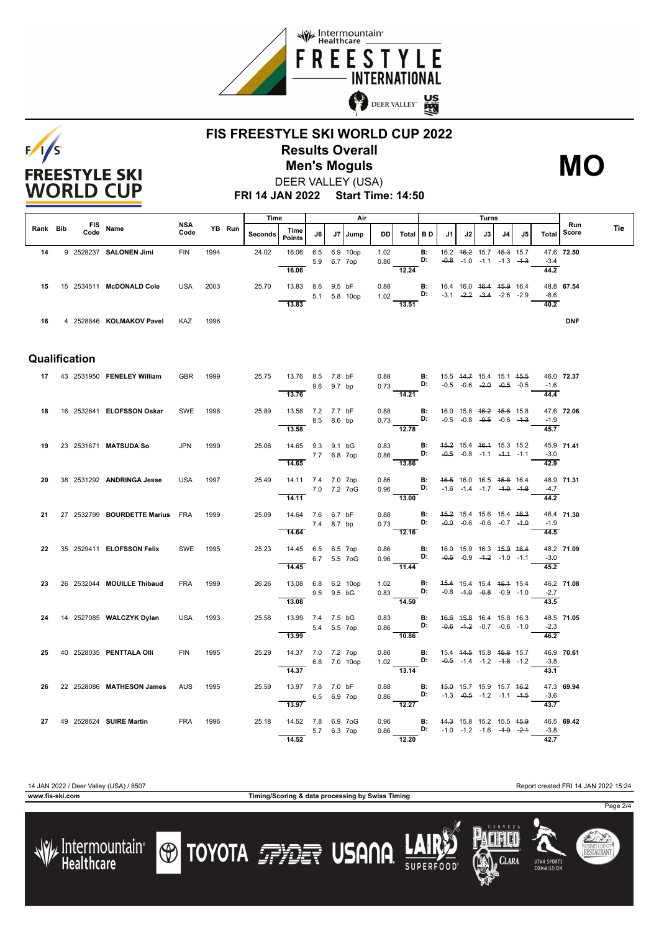



## **FIS FREESTYLE SKI WORLD CUP 2022 Results Overall** DEER VALLEY (USA) **Men's Moguls MO**



**FRI 14 JAN 2022 Start Time: 14:50**

|               |  |      |                                 |                    |      |        | Time           |                                              | Air         |        |                     |                    |                                                                                                                                              |                                                                                    |                                     | Turns                                                                  |      |    |                                    | Run                        |            |            |
|---------------|--|------|---------------------------------|--------------------|------|--------|----------------|----------------------------------------------|-------------|--------|---------------------|--------------------|----------------------------------------------------------------------------------------------------------------------------------------------|------------------------------------------------------------------------------------|-------------------------------------|------------------------------------------------------------------------|------|----|------------------------------------|----------------------------|------------|------------|
| Rank Bib      |  | Code | FIS Name                        | <b>NSA</b><br>Code |      | YB Run | <b>Seconds</b> | Time<br><b>Points</b>                        | J6          | J7     | Jump                | DD I               | Total BD                                                                                                                                     |                                                                                    | J1                                  | J2                                                                     | J3 I | J4 | J5                                 | Total                      | Score      | <b>Tie</b> |
| 14            |  |      | 9 2528237 SALONEN Jimi          | <b>FIN</b>         | 1994 |        | 24.02          | 16.06                                        | 6.5<br>5.9  |        | 6.9 10op<br>6.7 7op | 1.02<br>0.86       |                                                                                                                                              | <b>B:</b><br>D:                                                                    |                                     | 16.2   46.2   15.7   45.3   15.7<br>$-0.8$ $-1.0$ $-1.1$ $-1.3$ $-4.3$ |      |    |                                    | $-3.4$                     | 47.6 72.50 |            |
| 15            |  |      | 15 2534511 McDONALD Cole        | <b>USA</b>         | 2003 |        | 25.70          | 16.06<br>13.83 8.6 9.5 bF<br>13.83           |             |        | 5.1 5.8 10op        | 0.88               | 12.24<br>1.02 <b>D:</b> $-3.1$ $-2.2$ $-3.4$ $-2.6$ $-2.9$<br>13.51                                                                          | <b>B:</b>                                                                          | 16.4 16.0 <del>16.4 15.9</del> 16.4 |                                                                        |      |    |                                    | 44.2<br>-8.6<br>40.2       | 48.8 67.54 |            |
| 16            |  |      | 4 2528846 KOLMAKOV Pavel        | KAZ                | 1996 |        |                |                                              |             |        |                     |                    |                                                                                                                                              |                                                                                    |                                     |                                                                        |      |    |                                    |                            | <b>DNF</b> |            |
| Qualification |  |      |                                 |                    |      |        |                |                                              |             |        |                     |                    |                                                                                                                                              |                                                                                    |                                     |                                                                        |      |    |                                    |                            |            |            |
|               |  |      | 17 43 2531950 FENELEY William   | <b>GBR</b>         | 1999 |        | 25.75          | 13.76 8.5 7.8 bF<br>13.76                    | 9.6         | 9.7 bp |                     |                    | 0.88 <b>B:</b> 15.5 14.7 15.4 15.1 15.5 0.73 <b>D:</b> -0.5 -0.6 -2.0 -0.5 -0.5 -0.5<br>14.21                                                |                                                                                    |                                     |                                                                        |      |    | $-0.5$ $-0.6$ $-2.0$ $-0.5$ $-0.5$ | $-1.6$<br>44.4             | 46.0 72.37 |            |
| 18            |  |      | 16 2532641 ELOFSSON Oskar       | SWE                | 1998 |        | 25.89          | 13.58 7.2 7.7 bF<br>8.5 8.6 bp<br>13.58      |             |        |                     | 0.88               | 0.73 D: $-0.5$ -0.8 -0.5 -0.6 -1.3<br>$\overline{12.78}$                                                                                     | <b>B</b> : 16.0 15.8 <del>16.2 15.6</del> 15.8                                     |                                     |                                                                        |      |    |                                    | $-1.9$<br>45.7             | 47.6 72.06 |            |
| 19            |  |      | 23 2531671 MATSUDA So           | <b>JPN</b>         | 1999 |        | 25.08          | 14.65 9.3 9.1 bG<br>14.65                    | 7.7 6.8 7op |        |                     | 0.83<br>0.86       | D:<br>$-13.86$                                                                                                                               | <b>B:</b> 45.2 15.4 46.4 15.3 15.2                                                 |                                     | $-0.5$ $-0.8$ $-1.1$ $-4.4$ $-1.1$                                     |      |    |                                    | $-3.0$<br>42.9             | 45.9 71.41 |            |
| 20            |  |      | 38 2531292 ANDRINGA Jesse       | <b>USA</b>         | 1997 |        | 25.49          | 14.11 7.4 7.0 7op<br>7.0 7.2 7oG<br>14.11    |             |        |                     | 0.86<br>0.96       | $\blacksquare$<br>$-13.00$                                                                                                                   | <b>D:</b> $-1.6$ $-1.4$ $-1.7$ $-4.9$ $-4.8$                                       | 46.5 16.0 16.5 45.8 16.4            |                                                                        |      |    |                                    | $-4.7$<br>44.2             | 48.9 71.31 |            |
| 21            |  |      | 27 2532799 BOURDETTE Marius FRA |                    | 1999 |        | 25.09          | 14.64 7.6 6.7 bF<br>14.64                    | 7.4 8.7 bp  |        |                     | 0.88               | <b>B:</b> 45.2 15.4 15.6 15.4 46.3<br>12.16                                                                                                  |                                                                                    |                                     |                                                                        |      |    |                                    | $-1.9$<br>44.5             | 46.4 71.30 |            |
| 22            |  |      | 35 2529411 ELOFSSON Felix       | SWE                | 1995 |        | 25.23          | 14.45 6.5 6.5 7op<br>14.45                   | 6.7 5.5 7oG |        |                     |                    | 0.86 <b>B</b> : 16.0 15.9 16.3 <del>15.9 16.4</del><br>0.96 <b>D:</b> -0.5 -0.9 -1.2 -1.0 -1.1<br>$\frac{11.44}{ }$                          |                                                                                    |                                     |                                                                        |      |    |                                    | $-3.0$<br>45.2             | 48.2 71.09 |            |
| 23            |  |      | 26 2532044 MOUILLE Thibaud      | <b>FRA</b>         | 1999 |        | 26.26          | 13.08 6.8 6.2 10op<br>9.5 9.5 bG<br>13.08    |             |        |                     |                    | 1.02 <b>B</b> : 4 <del>5.4</del> 15.4 15.4 4 <del>5.1</del> 15.4<br>0.83 <b>D:</b> -0.8 - <del>1.0</del> -0.8 -0.9 -1.0<br>$\frac{1}{14.50}$ |                                                                                    |                                     |                                                                        |      |    |                                    | $-2.7$<br>43.5             | 46.2 71.08 |            |
| 24            |  |      | 14 2527085 WALCZYK Dylan        | <b>USA</b>         | 1993 |        | 25.58          | 13.99 7.4 7.5 bG<br>$\overline{13.99}$       | 5.4 5.5 7op |        |                     | 0.83<br>0.86       | D:<br>$\overline{10.86}$                                                                                                                     | <b>B:</b> 46.6 45.8 16.4 15.8 16.3                                                 |                                     | $-0.6$ $-4.2$ $-0.7$ $-0.6$ $-1.0$                                     |      |    |                                    | $-2.3$<br>$\frac{1}{46.2}$ | 48.5 71.05 |            |
| 25            |  |      | 40 2528035 PENTTALA OIII        | FIN                | 1995 |        | 25.29          | 14.37 7.0 7.2 7op<br>$6.8$ 7.0 10op<br>14.37 |             |        |                     | 0.86<br>11 Million | 1.02 <b>D:</b> $-0.5$ -1.4 -1.2 -1.8 -1.2<br>13.14                                                                                           | <b>B:</b> 15.4 44.5 15.8 45.8 15.7                                                 |                                     |                                                                        |      |    |                                    | $-3.8$<br>43.1             | 46.9 70.61 |            |
| 26            |  |      | 22 2528086 MATHESON James       | <b>AUS</b>         | 1995 |        | 25.59          | 13.97 7.8 7.0 bF<br>13.97                    | 6.5 6.9 7op |        |                     | 0.88<br>0.86       | D:<br>12.27                                                                                                                                  | <b>B:</b> 45.0 15.7 15.9 15.7 46.2                                                 |                                     | $-1.3$ $-0.5$ $-1.2$ $-1.1$ $-4.5$                                     |      |    |                                    | -3.6<br>43.7               | 47.3 69.94 |            |
| 27            |  |      | 49 2528624 SUIRE Martin         | <b>FRA</b>         | 1996 |        | 25.18          | 14.52 7.8 6.9 7oG<br>5.7 6.3 7op<br>14.52    |             |        |                     | 0.96<br>0.86       | 12.20                                                                                                                                        | <b>B:</b> 44.3 15.8 15.2 15.5 45.9<br><b>D:</b> $-1.0$ $-1.2$ $-1.6$ $-4.0$ $-2.4$ |                                     |                                                                        |      |    |                                    | $-3.8$<br>42.7             | 46.5 69.42 |            |

/ Intermountain<br>Healthcare

**www.fis-ski.com Timing/Scoring & data processing by Swiss Timing**

**TOYOTA FELLE USANA** 

14 JAN 2022 / Deer Valley (USA) / 8507 Report created FRI 14 JAN 2022 15:24

**CLARA** 

**UTAH SPORT** 

Page 2/4

SUMMIT COUNT<br>**RESTAURAN**T

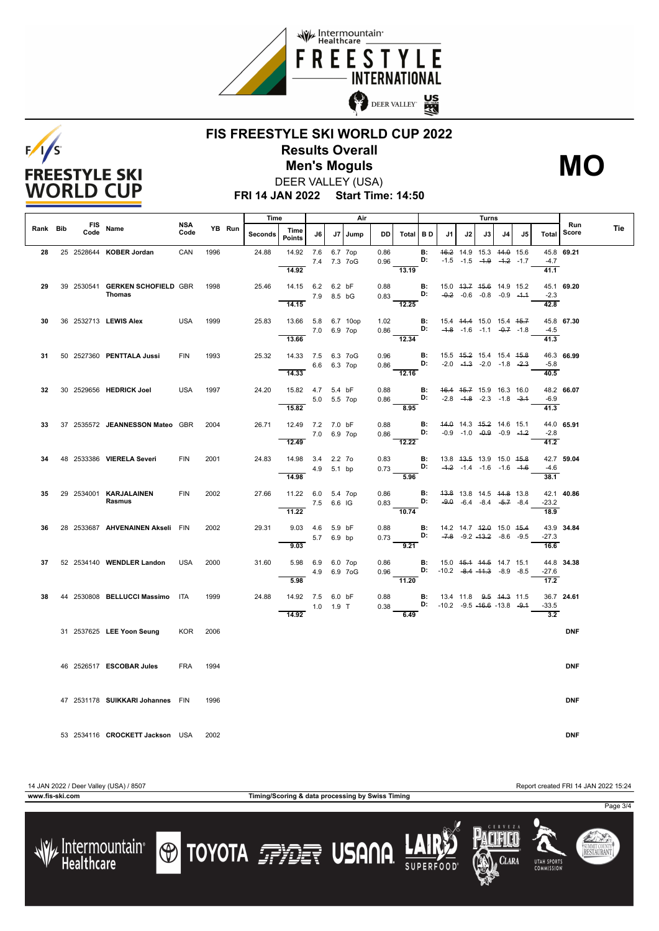



## **FIS FREESTYLE SKI WORLD CUP 2022 Results Overall Men's Moguls MO**



**FRI 14 JAN 2022 Start Time: 14:50** DEER VALLEY (USA)

|          |                    |                                           |                    |        | Time           |                                            |             |             | Air         |              |                                                         |                                   |                                                                            | Turns                                                          |    |                |    |                             |              |     |
|----------|--------------------|-------------------------------------------|--------------------|--------|----------------|--------------------------------------------|-------------|-------------|-------------|--------------|---------------------------------------------------------|-----------------------------------|----------------------------------------------------------------------------|----------------------------------------------------------------|----|----------------|----|-----------------------------|--------------|-----|
| Rank Bib | <b>FIS</b><br>Code | Name                                      | <b>NSA</b><br>Code | YB Run | <b>Seconds</b> | Time<br><b>Points</b>                      | J6          | J7 I        | l Jump      | DD           | Total BD                                                |                                   | J1                                                                         | J2                                                             | J3 | J <sub>4</sub> | J5 | Total                       | Run<br>Score | Tie |
| 28       |                    | 25 2528644 KOBER Jordan                   | CAN                | 1996   | 24.88          | 14.92 7.6 6.7 7op<br>14.92                 |             |             | 7.4 7.3 7oG | 0.86<br>0.96 | $-13.19$                                                | <b>B:</b><br>D:                   |                                                                            | 46.2 14.9 15.3 44.0 15.6<br>$-1.5$ $-1.5$ $-4.9$ $-4.2$ $-1.7$ |    |                |    | $-4.7$<br>41.1              | 45.8 69.21   |     |
| 29       |                    | 39 2530541 GERKEN SCHOFIELD GBR<br>Thomas |                    | 1998   | 25.46          | 14.15 6.2 6.2 bF<br>14.15                  |             | 7.9 8.5 bG  |             | 0.88         | $0.83$ D:<br>12.25                                      | В:                                | 15.0 43.7 45.6 14.9 15.2                                                   | $-0.2$ $-0.6$ $-0.8$ $-0.9$ $-4.4$                             |    |                |    | $-2.3$<br>42.8              | 45.1 69.20   |     |
| 30       |                    | 36 2532713 LEWIS Alex                     | <b>USA</b>         | 1999   | 25.83          | 13.66 5.8 6.7 10op<br>13.66                | 7.0 6.9 7op |             |             | 1.02         | $0.86$ D:<br>$\overline{12.34}$                         | B:                                | 15.4 44.4 15.0 15.4 45.7                                                   | $-4.8$ $-1.6$ $-1.1$ $-0.7$ $-1.8$                             |    |                |    | $-4.5$<br>$\overline{41.3}$ | 45.8 67.30   |     |
| 31       |                    | 50 2527360 PENTTALA Jussi                 | <b>FIN</b>         | 1993   | 25.32          | 14.33 7.5 6.3 7oG<br>14.33                 |             | 6.6 6.3 7op |             | 0.96         | $0.86$ D:<br>$\overline{12.16}$                         | <b>B:</b>                         | 15.5 45.2 15.4 15.4 45.8<br>$-2.0$ $-4.3$ $-2.0$ $-1.8$ $-2.3$             |                                                                |    |                |    | $-5.8$<br>40.5              | 46.3 66.99   |     |
| 32       |                    | 30 2529656 HEDRICK Joel                   | <b>USA</b>         | 1997   | 24.20          | 15.82  4.7  5.4 bF<br>15.82                |             | 5.0 5.5 7op |             | 0.88<br>0.86 | 8.95                                                    | <b>B:</b><br>D:                   |                                                                            | 46.4 45.7 15.9 16.3 16.0<br>$-2.8$ $-4.8$ $-2.3$ $-1.8$ $-3.4$ |    |                |    | $-6.9$<br>41.3              | 48.2 66.07   |     |
| 33       |                    | 37 2535572 JEANNESSON Mateo GBR           |                    | 2004   | 26.71          | 12.49 7.2 7.0 bF<br>12.49                  | 7.0 6.9 7op |             |             | 0.88         | 0.86<br>12.22                                           | $\mathbf{B}$ :<br>D:              | 44.0 14.3 45.2 14.6 15.1                                                   | $-0.9$ $-1.0$ $-0.9$ $-0.9$ $-1.2$                             |    |                |    | $-2.8$<br>41.2              | 44.0 65.91   |     |
| 34       |                    | 48  2533386 <b>VIERELA Severi</b>         | <b>FIN</b>         | 2001   | 24.83          | 14.98 3.4 2.2 7o<br>14.98                  |             | 4.9 5.1 bp  |             | 0.83<br>0.73 | 5.96                                                    | <b>B:</b><br>D:                   | 13.8 43.5 13.9 15.0 45.8                                                   | $-4.2$ $-1.4$ $-1.6$ $-1.6$ $-4.6$                             |    |                |    | $-4.6$<br>38.1              | 42.7 59.04   |     |
| 35       |                    | 29 2534001 KARJALAINEN<br>Rasmus          | FIN                | 2002   | 27.66          | 11.22 6.0 5.4 7op<br>11.22                 | 7.5 6.6 IG  |             |             | 0.86<br>0.83 | $\overline{10.74}$                                      | B:<br>D:                          | 43.8 13.8 14.5 <del>14.8</del> 13.8                                        | $-9.0$ $-6.4$ $-8.4$ $-5.7$ $-8.4$                             |    |                |    | $-23.2$<br>18.9             | 42.1 40.86   |     |
| 36       |                    | 28 2533687 AHVENAINEN Akseli FIN          |                    | 2002   | 29.31          | 9.03  4.6  5.9 bF<br>9.03                  |             | 5.7 6.9 bp  |             | 0.88         | $0.73$ $D:$ $-7.8$ $-9.2$ $-13.2$ $-8.6$ $-9.5$<br>9.21 | <b>B:</b>                         | 14.2 14.7 <del>12.0</del> 15.0 <del>15.4</del>                             |                                                                |    |                |    | $-27.3$<br>16.6             | 43.9 34.84   |     |
| 37       |                    | 52 2534140 WENDLER Landon                 | <b>USA</b>         | 2000   | 31.60          | 5.98<br>5.98                               | 6.9 6.0 7op |             | 4.9 6.9 7oG | 0.86<br>0.96 | $-11.20$                                                | <b>B:</b>                         | 15.0 45.4 44.5 14.7 15.1<br><b>D:</b> $-10.2$ $-8.4$ $-11.3$ $-8.9$ $-8.5$ |                                                                |    |                |    | $-27.6$<br>17.2             | 44.8 34.38   |     |
| 38       |                    | 44 2530808 BELLUCCI Massimo ITA           |                    | 1999   | 24.88          | 14.92 7.5 6.0 bF<br>$1.0$ $1.9$ T<br>14.92 |             |             |             | 0.88<br>0.38 | 6.49                                                    | <b>B:</b> 13.4 11.8 9.5 44.3 11.5 | <b>D:</b> $-10.2$ $-9.5$ $-16.6$ $-13.8$ $-9.4$                            |                                                                |    |                |    | $-33.5$<br>$\overline{3.2}$ | 36.7 24.61   |     |
|          |                    | 31 2537625 LEE Yoon Seung                 | <b>KOR</b>         | 2006   |                |                                            |             |             |             |              |                                                         |                                   |                                                                            |                                                                |    |                |    |                             | <b>DNF</b>   |     |
|          |                    | 46 2526517 ESCOBAR Jules                  | <b>FRA</b>         | 1994   |                |                                            |             |             |             |              |                                                         |                                   |                                                                            |                                                                |    |                |    |                             | <b>DNF</b>   |     |
|          |                    | 47 2531178 SUIKKARI Johannes FIN          |                    | 1996   |                |                                            |             |             |             |              |                                                         |                                   |                                                                            |                                                                |    |                |    |                             | <b>DNF</b>   |     |
|          |                    | 53 2534116 CROCKETT Jackson USA           |                    | 2002   |                |                                            |             |             |             |              |                                                         |                                   |                                                                            |                                                                |    |                |    |                             | <b>DNF</b>   |     |

/ Intermountain<br>Healthcare

**TOYOTA FELLER USANA** 



**CLARA** 

**UTAH SPORT** 

Page 3/4

SUMMIT COUNT<br>**RESTAURAN**T

**www.fis-ski.com Timing/Scoring & data processing by Swiss Timing**